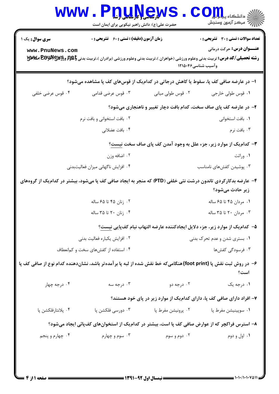| <b>WWW</b>                                                                                                                     | <b>لارساسی (باریل ایرانیا</b><br>حضرت علی(ع): دانش راهبر نیکویی برای ایمان است |                              | ه دانشگاه پ <b>یا ب<sup>ا</sup></b><br>رِ ۖ مرڪز آزمون وسنڊش                                                                                                                                                                                                      |  |  |
|--------------------------------------------------------------------------------------------------------------------------------|--------------------------------------------------------------------------------|------------------------------|-------------------------------------------------------------------------------------------------------------------------------------------------------------------------------------------------------------------------------------------------------------------|--|--|
| <b>سری سوال :</b> یک ۱<br>www.PnuNews.com                                                                                      | <b>زمان آزمون (دقیقه) : تستی : 60 ٪ تشریحی : 0</b>                             |                              | <b>تعداد سوالات : تستی : 30 ٪ تشریحی : 0</b><br><b>عنـــوان درس:</b> حرکت درمانی<br><b>رشته تحصیلی/کد درس:</b> تربیت بدنی وعلوم ورزشی (خواهران )،تربیت بدنی وعلوم ورزشی (برادران )،تربیت بدنی <b>باطِلِ Fوگویم وگلایاللولالی اصلاللال</b> ل<br>وآسيب شناسي12150 1 |  |  |
| ۱– در عارضه صافی کف پا، سقوط یا کاهش درجاتی در کدامیک از قوسهای کف پا مشاهده میشود؟                                            |                                                                                |                              |                                                                                                                                                                                                                                                                   |  |  |
| ۰۴ قوس عرضی خلفی                                                                                                               | ۰۳ قوس عرضی قدامی                                                              | ۰۲ قوس طولی میانی            | ۰۱ قوس طولي خارجي                                                                                                                                                                                                                                                 |  |  |
|                                                                                                                                |                                                                                |                              | ۲- در عارضه کف پای صاف سخت، کدام بافت دچار تغییر و ناهنجاری میشود؟                                                                                                                                                                                                |  |  |
|                                                                                                                                | ۰۲ بافت استخوانی و بافت نرم                                                    |                              | ٠١. بافت استخواني                                                                                                                                                                                                                                                 |  |  |
|                                                                                                                                | ۰۴ بافت عضلانی                                                                 |                              | ۰۳ بافت نرم                                                                                                                                                                                                                                                       |  |  |
| <b>۳</b> - کدام یک از موارد زیر، جزء علل به وجود آمدن کف پای صاف سخت نیست؟                                                     |                                                                                |                              |                                                                                                                                                                                                                                                                   |  |  |
|                                                                                                                                | ۰۲ اضافه وزن                                                                   |                              | ۰۱ وراثت                                                                                                                                                                                                                                                          |  |  |
|                                                                                                                                | ۰۴ افزایش ناگهانی میزان فعالیتبدنی                                             |                              | ۰۳ پوشیدن کفشهای نامناسب                                                                                                                                                                                                                                          |  |  |
| ۴- عارضه بدکارکردی تاندون درشت نئی خلفی (PTD) که منجر به ایجاد صافی کف پا میشود، بیشتر در کدامیک از گروههای<br>زیر حادث میشود؟ |                                                                                |                              |                                                                                                                                                                                                                                                                   |  |  |
|                                                                                                                                | ۰۲ زنان ۴۵ تا ۶۵ ساله                                                          |                              | ۰۱ مردان ۴۵ تا ۶۵ ساله                                                                                                                                                                                                                                            |  |  |
|                                                                                                                                | ۰۴ زنان ۲۰ تا ۳۵ ساله                                                          |                              | ۰۳ مردان ۲۰ تا ۳۵ ساله                                                                                                                                                                                                                                            |  |  |
|                                                                                                                                |                                                                                |                              | ۵– کدام یک از موارد زیر، جزء دلایل ایجادکننده عارضه التهاب نیام کفپایی نیست؟                                                                                                                                                                                      |  |  |
| ۰۲ افزایش یکباره فعالیت بدنی                                                                                                   |                                                                                | ۰۱ بستری شدن و عدم تحرک بدنی |                                                                                                                                                                                                                                                                   |  |  |
| ۰۴ استفاده از کفشهای سخت و کمانعطاف                                                                                            |                                                                                | ۰۳ فرسودگی کفشها             |                                                                                                                                                                                                                                                                   |  |  |
| ۶– در روش ثبت نقش پا (foot print)هنگامیکه خط نقش شده از لبه پا بر آمده تر باشد، نشاندهنده کدام نوع از صافی کف پا<br>است؟       |                                                                                |                              |                                                                                                                                                                                                                                                                   |  |  |
| ۰۴ درجه چهار                                                                                                                   | ۰۳ درجه سه                                                                     | ۰۲ درجه دو                   | ۰۱ درجه یک                                                                                                                                                                                                                                                        |  |  |
|                                                                                                                                |                                                                                |                              | ۷– افراد دارای صافی کف پا، دارای کدامیک از موارد زیر در پای خود هستند؟                                                                                                                                                                                            |  |  |
| ۰۴ پلانتارفلکشن پا                                                                                                             | ۰۳ دورسی فلکشن پا                                                              | ٠٢ پرونيشن مفرط پا           | ۰۱ سوپینیشن مفرط پا                                                                                                                                                                                                                                               |  |  |
| ۸– استرس فراکچر که از عوارض صافی کف پا است، بیشتر در کدامیک از استخوانهای کفپائی ایجاد میشود؟                                  |                                                                                |                              |                                                                                                                                                                                                                                                                   |  |  |
| ۰۴ چهارم و پنجم                                                                                                                | ۰۳ سوم و چهارم                                                                 | ۰۲ دوم و سوم                 | ۰۱ اول و دوم                                                                                                                                                                                                                                                      |  |  |
| <b>: صفحه ۱۱ز ۴</b>                                                                                                            | ــــــــــ نیمسال اول ۹۲-۱۳۹۱ ــــــــــ                                       |                              |                                                                                                                                                                                                                                                                   |  |  |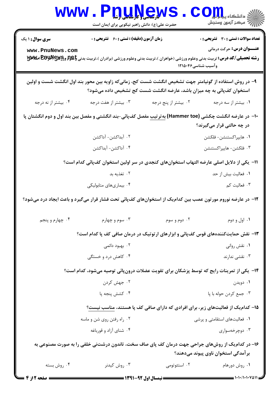|                        | www.P <u>nuŅe</u> ws<br>حضرت علی(ع): دانش راهبر نیکویی برای ایمان است                                  |                      | ي<br>د انشڪاه پيام <mark>پ</mark> ر<br>أأزاته مركز آزمون وسنجش                                                                               |
|------------------------|--------------------------------------------------------------------------------------------------------|----------------------|----------------------------------------------------------------------------------------------------------------------------------------------|
| <b>سری سوال : ۱ یک</b> | زمان آزمون (دقیقه) : تستی : 60 ٪ تشریحی : 0                                                            |                      | <b>تعداد سوالات : تستی : 30 ٪ تشریحی : 0</b>                                                                                                 |
| www.PnuNews.com        |                                                                                                        |                      | <b>عنـــوان درس:</b> حرکت درمانی                                                                                                             |
|                        |                                                                                                        | وآسيب شناسي12156     | <b>رشته تحصیلی/کد درس:</b> تربیت بدنی وعلوم ورزشی (خواهران )،تربیت بدنی وعلوم ورزشی (برادران )،تربیت بدنی <b>باطبم وکرللالاتی اصلالاتی ا</b> |
|                        | ۹– در روش استفاده از گونیامتر جهت تشخیص انگشت شست کج، زمانیکه زاویه بین محور بند اول انگشت شست و اولین |                      |                                                                                                                                              |
|                        | استخوان کفپائی به چه میزان باشد، عارضه انگشت شست کج تشخیص داده میشود؟                                  |                      |                                                                                                                                              |
| ۰۴ بیشتر از نه درجه    | ۰۳ بیشتر از هفت درجه                                                                                   | ۰۲ بیشتر از پنج درجه | ۰۱ بیشتر از سه درجه                                                                                                                          |
|                        |                                                                                                        |                      | +ا− در عارضه انگشت چکشی (Hammer toe) به <i>ت</i> رتیب مفصل کفپائی−بند انگشتی و مفصل بین بند اول و دوم انگشتان پا                             |
|                        |                                                                                                        |                      | در چه حالتی قرار میگیرند؟                                                                                                                    |
|                        | ۰۲ آبداکشن- آداکشن                                                                                     |                      | ٠١ هايپراكستنشن- فلكشن                                                                                                                       |
|                        | ۴. آداکشن- آبداکشن                                                                                     |                      | ۰۳ فلکشن- هایپراکستنشن                                                                                                                       |
|                        | 11– یکی از دلایل اصلی عارضه التهاب استخوانهای کنجدی در سر اولین استخوان کفپائی کدام است؟               |                      |                                                                                                                                              |
|                        | ۰۲ تغذیه بد                                                                                            |                      | ٠١ فعاليت بيش از حد                                                                                                                          |
|                        | ۰۴ بیماریهای متابولیکی                                                                                 |                      | ۰۳ فعالیت کم                                                                                                                                 |
|                        |                                                                                                        |                      | ۱۲– در عارضه نوروم مورتون عصب بین کدام یک از استخوانهای کفپائی تحت فشار قرار میگیرد و باعث ایجاد درد میشود؟                                  |
| ۰۴ چهارم و پنجم        | ۰۳ سوم و چهارم                                                                                         | ۰۲ دوم و سوم         | ۰۱ اول و دوم                                                                                                                                 |
|                        |                                                                                                        |                      | ۱۳- نقش حمایتکنندههای قوس کفپائی و ابزارهای ارتوتیک در درمان صافی کف پا کدام است؟                                                            |
|                        | ۰۲ بهبود دائمی                                                                                         |                      | ۰۱ نقش روانی                                                                                                                                 |
|                        | ۰۴ کاهش درد و خستگی                                                                                    |                      | ۰۳ نقشی ندارند                                                                                                                               |
|                        |                                                                                                        |                      | ۱۴– یکی از تمرینات رایج که توسط پزشکان برای تقویت عضلات درونپائی توصیه میشود، کدام است؟                                                      |
|                        | ۰۲ جهش کردن                                                                                            |                      | ۰۱ دويدن                                                                                                                                     |
|                        | ۰۴ کشش پنجه پا                                                                                         |                      | ۰۳ جمع کردن حوله با پا                                                                                                                       |
|                        |                                                                                                        |                      | ۱۵– کدام یک از فعالیتهای زیر، برای افرادی که دارای صافی کف پا هستند، مناسب نیست؟                                                             |
|                        | ۰۲ راه رفتن روی شن و ماسه                                                                              |                      | ۰۱ فعالیتهای استقامتی و پرشی                                                                                                                 |
|                        | ۰۴ شنای آزاد و قورباغه                                                                                 |                      | ۰۳ دوچرخەسوارى                                                                                                                               |
|                        |                                                                                                        |                      | ۱۶- در کدام یک از روشهای جراحی جهت درمان کف پای صاف سخت، تاندون درشتنی خلفی را به صورت مصنوعی به<br>برآمدگی استخوان ناوی پیوند میدهند؟       |
| ۰۴ روش بسته            | ۰۳ روش کیدنر                                                                                           | ۰۲ استئوتومی         | ۰۱ روش دورهام                                                                                                                                |
|                        |                                                                                                        |                      |                                                                                                                                              |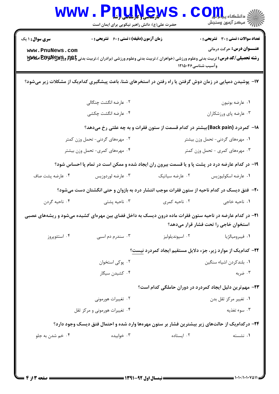| <b>سری سوال : ۱ یک</b>          | زمان آزمون (دقیقه) : تستی : 60 ٪ تشریحی : 0                                                                                                 |                 | تعداد سوالات : تستى : 30 ٪ تشريحي : 0                            |
|---------------------------------|---------------------------------------------------------------------------------------------------------------------------------------------|-----------------|------------------------------------------------------------------|
| www.PnuNews.com                 | <b>رشته تحصیلی/کد درس:</b> تربیت بدنی وعلوم ورزشی (خواهران )،تربیت بدنی وعلوم ورزشی (برادران )،تربیت بدنی <b>باط[ و BGلل BBY اصلالالالا</b> |                 | <b>عنـــوان درس:</b> حرکت درمانی<br>وآسيب شناسي۱۲۱۵۰۴۶           |
|                                 | ۱۷– پوشیدن دمپایی در زمان دوش گرفتن یا راه رفتن در استخرهای شنا، باعث پیشگیری کدامیک از مشکلات زیر میشود؟                                   |                 |                                                                  |
|                                 | ۰۲ عارضه انگشت چنگالی                                                                                                                       |                 | ٠١ عارضه بونيون                                                  |
|                                 | ۰۴ عارضه انگشت چکشی                                                                                                                         |                 | ۰۳ عارضه پای ورزشکاران                                           |
|                                 | ۱۸− کمردرد (Back pain)بیشتر در کدام قسمت از ستون فقرات و به چه علتی رخ میدهد؟                                                               |                 |                                                                  |
| ۰۲ مهرههای گردنی- تحمل وزن کمتر |                                                                                                                                             |                 | ۰۱ مهرههای گردنی- تحمل وزن بیشتر                                 |
|                                 | ۰۴ مهرههای کمری- تحمل وزن بیشتر                                                                                                             |                 | ۰۳ مهرههای کمری - تحمل وزن کمتر                                  |
|                                 | ۱۹- در کدام عارضه درد در پشت پا و یا قسمت بیرون ران ایجاد شده و ممکن است در تمام پا احساس شود؟                                              |                 |                                                                  |
| ۰۴ عارضه پشت صاف                | ۰۳ عارضه لوردوزيس                                                                                                                           | ۰۲ عارضه سیاتیک | ٠١ عارضه اسكوليوزيس                                              |
|                                 | +۲- فتق دیسک در کدام ناحیه از ستون فقرات موجب انتشار درد به بازوان و حتی انگشتان دست میشود؟                                                 |                 |                                                                  |
| ۰۴ ناحيه گردن                   | ۰۳ ناحیه پشتی                                                                                                                               | ۰۲ ناحیه کمری   | ۰۱ ناحیه خاجی                                                    |
|                                 | <b>۳۱</b> - در کدام عارضه در ناحیه ستون فقرات ماده درون دیسک به داخل فضای بین مهرهای کشیده میشود و ریشههای عصبی                             |                 | استخوان خاجی را تحت فشار قرار میدهد؟                             |
| ۰۴ استئوپروز                    | ۰۳ سندرم دم اسبی                                                                                                                            | ۰۲ اسپونديلوليز | ٠١ فيبروميالژيا                                                  |
|                                 |                                                                                                                                             |                 | ۲۲- کدام یک از موارد زیر، جزء دلایل مستقیم ایجاد کمردرد نیست؟    |
|                                 | ۰۲ پوکی استخوان                                                                                                                             |                 | ۰۱ بلندکردن اشیاء سنگین                                          |
|                                 | ۰۴ کشیدن سیگار                                                                                                                              |                 | ۰۳ ضربه                                                          |
|                                 |                                                                                                                                             |                 | <b>۲۳</b> - مهم ترین دلیل ایجاد کمردرد در دوران حاملگی کدام است؟ |
|                                 | ۰۲ تغییرات هورمونی                                                                                                                          |                 | ۰۱ تغییر مرکز ثقل بدن                                            |
| ۰۴ تغییرات هورمونی و مرکز ثقل   |                                                                                                                                             |                 | ۰۳ سوء تغذیه                                                     |
|                                 | ۲۴- درکدام یک از حالتهای زیر بیشترین فشار بر ستون مهرهها وارد شده و احتمال فتق دیسک وجود دارد؟                                              |                 |                                                                  |
| ۰۴ خم شدن به جلو                | ۰۳ خوابیده                                                                                                                                  | ۰۲ ایستاده      | ۰۱ نشسته                                                         |